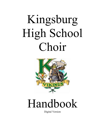# Kingsburg High School Choir



## Handbook

Digital Version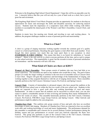Welcome to the Kingsburg High School Choral Department! I hope this will be an enjoyable year for you. I sincerely believe that this year will not only be a year of hard work as a choir, but a year of great fun and excitement.

The Kingsburg High School Vocal Music Program provides an opportunity for students to develop an appreciation for music and encourages the skills and discipline necessary for achieving musical success. Students learn the importance of a cooperative team effort while working with fellow members to accomplish the shared goals of the Women's and Men's Ensembles, Concert Choir, and Jazz Choir.

Students in music have fun meeting new friends and traveling to new and exciting places. In addition, the program challenges students in areas of personal growth and musicianship.

#### **What is a Choir?**

A choir is a group of singing musicians working together towards the common goal of a quality concert or a festival performance. Reaching this goal requires a total effort from each member. Even though this choir operates very much like any team sport there is one exception: in choir *EVERYBODY IS FIRST STRING!* This means that there is no bench for substitutes or "second stringers". Music is the only activity in which everyone performs all the time, and as such is unique in your school activities. The responsibility is great, but the rewards in terms of personal satisfaction are tremendous - and the memories will last a life time.

#### **What Kind of Choirs are there at KHS??**

**Women's & Men's Ensembles**: These groups consist of students who may have had little or no choral experience. The ensembles are open to any students who would like to sing. The goal of these groups is to ready the singer wishing to continue to the next level of ensemble such as Concert Choir or Jazz Choir. Singers will gain this experience and knowledge of the fundamentals of singing, and working together as they acquaint themselves with the art of singing choral music. These ensembles typically perform at the Fall Concert, Christmas Concert, Pre-Festival, and Spring Concert.

**Concert Choir**: Consists of intermediate to advanced singers who have passed the audition at the end of the previous school year or within the first two weeks of the new school year. Students in this group are expected to have a good work ethic and working knowledge of vocal and music fundamentals. In order to ensure that all students can be successful in concert choir, you can also expect to spend a considerable amount of time reviewing and learning these music fundamentals in the first few weeks of school. This ensemble historically performs at the Fall Concert, Christmas Concert, Pre-Festival, FMCMEA Large Group Festival, and Spring Concert. Other festivals and performances might be added as the year progresses.

**Chamber/Jazz Choir**: This audition only group consists of boys and girls who have an excellent knowledge of music and singing. Members of Chamber/Jazz Choir are expected to have an excellent work ethic and working knowledge of vocal and music fundamentals. The performance demand for this ensemble is considerable and is known for its several Dickens Carolers performances during the Holiday season and jazz performances at several vocal jazz festivals especially the Reno Jazz Festival. This group also performs as part of the Concert Choir at the Fall Concert, Christmas Concert, Pre-Festival, FMCMEA Large Group Festival, and Spring Concert.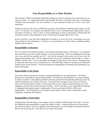#### **Your Responsibility as a Choir Member**

This manual is filled with detailed information telling you what is expected of you and what you can expect in return. It is important that that each member does his or her share if the choir is to function smoothly and successfully, and each member is to get maximum benefit out of his or her choir experience.

Students involved in the choirs of KHS have enjoyed a rich tradition of making quality music over the years. It is because of our quality and reputation that we have celebrated many opportunities such as traveling to Sweden as well as closer to home performing in front of thousands at Disneyland and across the country with performances at the world famous Carnegie Hall in New York.

In the event this is your first time reading this (or maybe it is review for you), I encourage you to pay close attention to the information. It will give you a good picture of what it takes to maintain quality, tradition and excellence.

#### **Responsibility to Ourselves**

We owe ourselves the benefit of proper vocal training and proper practice and lessons. It is important that at all times you avail yourself of proper vocal use and training. This is accomplished by knowing your voice and the best possible use of it. You will be exposed to the correct use of your voice for singing and speaking and it will be important that you use the techniques learned daily to ensure a lifetime of good voice. You are also highly encouraged to take private voice lessons. Rehearsal time at school can only teach you at a moderate level. *The KHS Music Boosters will pay up to \$30.00 per month of your private lessons.* You have the primary responsibility for learning and contributing your talent to the group.

#### **Responsibility to the School**

The school district provides the necessary setting and facilities for our performances. The Music Boosters are responsible for many large purchases. We then have the obligation to use these benefits to educate ourselves at the highest possible level and to provide the best possible performances for the school, community, and citizens of our area. This means that you agree to give some of your free time for the entertainment of others. It also means that you are willing to take the proper care of all equipment owned by the school and music boosters. In the event that you are responsible for damage to equipment that requires repair or replacement: all costs associated with this will be your responsibility. This includes but is not limited to sheet music, concert outfits, instruments, sound equipment, computers and furniture.

#### **Responsibility to Each Other**

Getting along with each other in our complex society is indeed a difficult task all by itself. You have the obligation and responsibility to respect the rights of others. Antisocial behavior will only breed the same from others. Excessive talking, rumor, bad manners, are all examples of antisocial behavior. Both on the risers and off – treat others as you wish to be treated.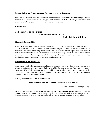#### **Responsibility for Promptness and Commitment to the Program**

These are two essential facts vital to the success of our choir. Many times we are leaving the area to perform. It is obvious that if you are late, you are left behind. YOU MUST arrange your schedule so you are able to honor your commitment to the performing groups.

#### **Remember –**

#### **To be early is to be on time –**

#### **To be on time is to be late –**

#### **To be late is unthinkable.**

#### **Financial Responsibility**

While we receive some financial support from school funds, it is not enough to support the program to the extent that the community and the members expect. Therefore all choir students are responsible for some fundraising events each year. It is reasonable to expect that each member participate equally in these projects or donate an amount of money equal to the profit that would be generated had he or she participated. We have a very active, supportive booster organization. We ask that your parents join this group and help with its activities.

#### **Responsibility for Attendance**

In accordance with KHS administrative philosophy students who have school related conflicts with scheduled performances must make a choice as to which function to attend. Every attempt made to ensure that KHS Music events do not conflict with athletic or other school events. However, in the event a conflict does arise it is extremely important that each choir student knows the expectations as described in detail in the grading policy.

#### **It is impossible to "make up" a performance…**

#### **… other members carry an extra burden because of someone else's**

#### **…inconsideration and poor planning.**

As a student member of the **KHS Performing Arts Department**, please understand that the **performance** is the culmination of everything you've worked so hard at during the year. It is therefore essential to your fine arts education that you experience the **performance** of your art.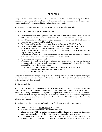## **Rehearsals**

Daily rehearsal is where we will spend 95% of our time as a choir. It is therefore expected that all students will participate fully in all aspects of rehearsal including warm-ups, theory lessons, sightreading, sectionals (both group and individual), and ensemble practice.

The following elements make up the daily rehearsal procedure for all KHS Choirs.

#### Entering Class, Choir Warm-ups and Announcements:

- 1. Enter the choir room with a great attitude. The choir room is one location where you can set all the issues you might be facing that day at the door and truly make music for awhile.
- 2. Put all backpacks and other items will be kept against the wall to the right of entering room just under Mr. Mynderup's office window.
- 3. Cell Phone is off or on silent tucked away in your backpack (NO EXCEPTIONS)
- 4. Get your music folder from the assigned location or your backpack and take your seat.
- 5. Make sure you have all of the music and a pencil at the beginning of rehearsal.
- 6. Get your chair from one of the stacks and place it in the area you have been assigned. Sit only in your assigned spot.
- 7. Check the white board at the front of the room for important announcements and dates to remember. Being informed is very important to being successful.
- 8. No talking during the morning bulletin.
- 9. Warm-ups will be both physical and vocal in nature with the intent of getting you the singer to be prepared for the musical tasks demanded during that rehearsal. Several things will be accomplished during the warm-up period;
	- a. Vocal chords will be warmed up to avoid stress or possible damage to them.
	- b. Concepts of proper vocalizing and choral technique.
	- c. Concepts in music theory.

Everyone is expected to participate fully in choir. Warm-up time will include everyone even if you are feeling under the weather that day. Talking and non-participation is not acceptable and will result in the forfeiture of rehearsal points.

#### The Process of Rehearsal:

This is the time after the warm-up period and is where we begin or continue learning a piece of music. Probably the most boring and mundane thing that can happen in a choir rehearsal is the daily continued "plunking" out of notes and rhythms. This process is known as "rote" and is proven to be the slowest way to learn anything. The purpose of rehearsal is to take the ink written on the page and turn it into a beautiful sounding piece of music. Rehearsal is valuable and time spent there must be efficient and productive.

The following is a list of rehearsal "do's and don'ts" for all successful KHS choir students.

- Gum, food, and drinks\* *are not allowed* at any time.
- \*Students may only drink bottled water in the classroom.
- Check your music folder to see that music scheduled for rehearsal is in order. Missing music, announcements, or homework should be reported to your section leader at once.
- Sheet music you receive is the property of the school and is to be treated as such. It is expected that you will treat school property with respect. Do not roll it into a tube, etc., as it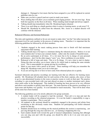damages it. Damaged or lost music that has been assigned to you will be replaced at current publisher rates by you.

- Make sure you have a pencil (and not a pen) to mark your music.
- Wear clothing that will allow you to maintain good singing posture. Do not cross legs. Keep both feet squarely on the floor at all times. When standing stand straight and always support.
- Talking should stop immediately when Mr. Mynderup begins rehearsal.
- There is no such thing as a dumb question when it comes to learning music, so ask away!!  $\circledcirc$
- Should Mr. Mynderup be called from the rehearsal, Mrs. Assisi or a student director will continue with the rehearsal.

#### Rehearsal Efficiency and Sectional Rehearsals:

The rules and regulations outlined so far are not meant to make choir "not fun" but rather increase the enjoyment level for each member in the process of making music. Therefore it is important that the following guidelines be followed by all choir members.

- 1. Students engaged in the music making process from start to finish will find maximum enjoyment while learning.
- 2. Talking should stop or be kept to a minimum during the rehearsal process. Believe it or not most students don't to hear your constant chatter…rather only the sounds of beautiful music.
- 3. Be an active participant at all times. It's a lot more fun to be in charge of your personal performance…don't let the other singers "carry" you. Have confidence in your ability.
- 4. Rehearsal is full of stops and starts. This is to fix things. It's not a time to start to chatter. Doing this does not allow you to know what to fix which leads to making the same mistake twice. This is unacceptable in a group striving for excellence.
- 5. Mark in your music with a pencil at all times. These markings will help you remember the things Mr. Mynderup wants you to do in that spot.
- 6. If you are arriving late to or have to leave early from rehearsal please do so quietly.

Sectional rehearsals and practice recordings are learning tools that are effective for learning music quickly. Mr. Mynderup will schedule time for each section of the choir; soprano, alto, tenor, or bass to go to a pre-determined location in the room or practice rooms to work on their part. The practice recording is a pre-recorded track with your part played on piano or another instrument and a demo choir much softer in the background. This method of learning has been proven to be very efficient and allows each member to quickly learn their part. The main function of the practice recordings is to learn notes and rhythms very quickly. It is not intended to teach musicality. That will be done when all the notes have been learned.

The following guidelines are to be strictly adhered to for group sectionals.

- 1. A student leader will be assigned to lead the sectional. Their job is to stop and start the practice recording as the rehearsal progresses. It is not the leader's responsibility to urge a member to participate. This is your job.
- 2. All students in the sectional should be completely engaged in the process and refrain from socializing as this obviously wastes time. Students not participating will forfeit rehearsal points for that day.
- 3. Students should focus on working out the musical problems the section is experiencing…not just sing through the song once and move on... no learning is happening this way.
- 4. Each student should work toward the goal of musical independence meaning that although you can sing your part with the group, you should be able to do it on your own just as successfully.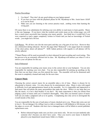#### Practice Recordings:

- 1. Use them!! They don't do any good sitting on your laptop unused.
- 2. If you have an issue with the playback please let Mr. Mynderup or Mrs. Assisi know ASAP so it can be fixed.
- 3. Make sure you are listening to the correct practice track…nothing worse than learning the wrong part.

Of course there is no substitution for utilizing your own ability to read music to learn quickly. Music is like any language. If you know what the symbols and words mean on the written page, you will have a much more successful time learning your music quickly. Just think how it would feel if you were expected to read a paper completely written in French and you had no knowledge of French words…you might feel a bit lost.

Cell Phones: We all have one (for the most part) and they are a big part of our lives. However they are a distraction during rehearsal. Review the page titled "Rehearsal" a few pages back for reminder of the choir policy about cell phones\*\*. KHS Admin policies with regards to cell phones will be strictly adhered.

\*\*Smart Phones will be used occasionally in choir rehearsal for part recording and vocal testing. This has proven to be an extremely efficient tool in class. Mr. Mynderup will instruct you when it's ok to retrieve your cell phone for this use.

#### End of Rehearsal:

You are responsible for putting your music away in the correct slot or your backpack. You are also responsible for stacking your own chair. You are also responsible for picking up anything on the floor that was not there when you first entered the room. The ensemble will not be dismissed until the room is completely cleaned and ready for the next class.

#### **Concert Music**

Choosing the correct concert music for an ensemble takes a lot of time. Music is chosen for its educational or historic value. It is also chosen for its entertainment value. Music is also with regard to difficulty level and appropriateness based on the ensemble. So it is impossible and impractical to find music that will please the many personalities that make the choir. While it is my hope that you like the music, it is not a deal breaker if you don't. My main expectation is that you refrain from judging a piece of music until you've learned it thoroughly. Only after you learned a piece of music well can you make a judgment call as to its quality. Complaining also only serves to downgrade the overall morale of the choir.

You are responsible for the care of each piece of music checked out to you. Please take extra care not to lose it. Do not damage it by rolling it up in a tube or marking it with ballpoint or felt-tip pen, or rip the edges or covers off. Students who have lost or damaged music will be billed at current publisher replacement costs.

 Before rehearsal begins make sure you have your music only. Do not ever just randomly take someone else's because you don't have yours. Once you receive your music it should be placed in your department issued music folder or a binder.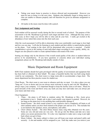- Taking your music home to practice is always allowed and recommended. However you must be sure to bring it to the next class. Students who habitually forget to bring music to class are unable to rehearse properly and will therefore be given an alternate assignment to complete.
- All marks in the music must be done with a pencil.

#### **Part Assignment and Seating**

Each student will be assessed vocally during the first or second week of school. The purpose of this assessment is for Mr. Mynderup to get know each singer and their voice. Although this may seem a little scary at first I hope you will be able to relax and do your best. I really get excited at the abundance of new talent that comes into the choir each year.

After the vocal assessment I will be able to determine what your comfortable vocal range is; how high and low you can sing. I will also be listening to each student and their ability to match pitches played on the piano. Your seating in the choir will be determined after everyone is assessed. Careful consideration is given to the seating of each individual singer according to voice quality, ability, etc. Singers are also placed in order to create optimal balance and sound of the choir.

Seating can change only by the director if the overall sound quality of the choir or student behavior proves to be unsatisfactory. If you have questions or concerns about your individual seating assignment, please see Mr. Mynderup individually outside of class.

## Music Department and Room Equipment

KHS Choir students should feel quite privileged with the quality of environment and equipment that has been built or obtained on their behalf. We enjoy a beautiful facility that was built using funds voted by our community. The choir room is a large room able to accommodate a large choir. The music department has three practice rooms for student use.

Choir Room: The choir room is your room to rehearse each day we meet. It is also a place you can "hang out" if you so desire and you are always most welcome to stop by and visit Mr. Mynderup. I always enjoy your company. It is important though to keep the facility clean at all times. Please be good stewards of the room and throw away any trash you may have and make sure you always put your music and chair away.

Choir Equipment:

- 1. Piano the piano is off limits to students unless Mr. Mynderup or Mrs. Assisi gives permission to use it. Simply ask to play it and usually your request is granted. However, do not bang on the piano keys or do anything that could possibly damage it.
- 2. Sound System the choir sound system is very expensive and is completely off limits to all choir students unless you have been trained in the proper care and use of it. This includes but is not limited to the speakers, mixer, microphones, and cables.
- 3. Choir Library System The choir library houses many song titles obtained over the years. Some are very old and some are very new. Do not go into the library and take out a tune unless you secure permission first. It is also very important to make sure a song is put right back where you got it from.
- 4. Music Cabinet the music cabinet is where you will keep your music and pencil safely and securely. A slot and number will be assigned to you. Each day make sure you retrieve your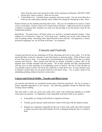music from the correct slot and return it there at the conclusion of rehearsal. DO NOT TAKE anyone else's music or pencil…these are not yours.

5. Visual Media Cart – Currently house a projector and stereo system. You are never allowed to hook up your media player and play music without first asking Mr. Mynderup or Mrs. Assisi.

Practice Rooms are for students practicing their music. They are not intended to be used as a lunch room or social place. Practice rooms are to remain clean at all times. Lights must also be on anytime a student is occupying them. Students can easily lose the privilege to use the practice room for not treating them properly.

Band Room: The band room is off limits unless it is used for a sectional rehearsal location. Choir students are not allowed to "hang out" in the band room. Students may use the water fountain but only for getting a drink. Interfering with a band rehearsal is never allowed. All equipment i.e. drums, percussion equipment, etc. are off limits at all times…no exceptions.

## Concerts and Festivals

Concerts and festivals are the culmination of all the rehearsing and work we have done. It is for this reason that these events are a big part of your final quarter or semester grades. Think of them as part of your final exam in choir. It is expected by your participation in the KHS Choirs that you attend concerts and festivals. Most concerts and festivals are already scheduled so please refer to the attached choir calendar included with this packet. The in-class calendar and daily announcements will also serve as clear reminders of an impending concert or festival. Be sure to write all dates on you calendar at home so there will not be any confusion as a date draws near. In some instances such as Dickens Carolers dates are not posted until the event draws closer. I try to make a point of not scheduling anything without at least two weeks notice.

#### **Concert and Festival Outfits - Tuxedos and Black Gowns**

All concerts and festivals are considered formal unless otherwise announced. We try to present a formal, dignified appearance at our concerts. The following guidelines should be followed when wearing concert clothing.

The choir outfit i.e. robe, tux, gown, jazz outfit, choir t-shirt is the symbol that identifies us as KHS Choir and is our uniform. It is important to look respectable at all times while in our uniform.

- In the public eye, being in full uniform is required at all times.
- Tuxedos, gowns and jazz outfits and choir t-shirts will be kept with the student at home.
- Students are completely responsible for the care of their choir outfit, and will be required to replace any part of the outfit should it be lost or damaged during the time it is issued to them.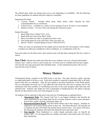The official choir outfit can change from year to year depending on availability. But the following are basic guidelines for students and their respective ensembles.

Department Provided:

- 1. Concert Tuxedo Includes black pants, black jacket, white wing-tip tux shirt, cummerbund/bowtie or vest/bowtie.
- 2. Concert Gown available in a variety of sizes starting at 0 up to 26 (only in even numbers)
- 3. Dickens Carolers For Jazz Choir only during the Christmas season.

Student Provided:

- 1. Black KHS Choir T-Shirt\* (\$10 \$15)
- 2. Black KHS Jazz Choir Polo Shirt\* (\$30)
- 3. Shoes (see below for what is accepted and what is not)
- 4. Non-tuxedo pants for wear with choir t-shirt, jazz polo, etc.
- 5. Special "Theme" oriented Spring Concert T-shirt (\$10-\$15)

\*These are items are purchased by the student and are therefore the sole property of the student. A student can either pay outright for a shirt or fundraise, or a combination of the two.

Sizes and orders for the black choir t-shirt and jazz polo will take place during the first few weeks of school.

**Jazz Choir-** Besides the outfits described above jazz students will wear a formal (individually chosen) "jazz" outfit as well as a more casual one. At events such as Columbia festivals jazz singers will wear the Jazz logo green polo shirt and khaki pants. A more detailed discussion will occur in class the first week of school.

### **Money Matters**

Unfortunately being a member in the KHS Choirs is not free. The many festivals, outfits, and trips we might participate in all have a cost. Each choir member is expected to participate fully in all fundraisers when they are scheduled. After all each student is the direct beneficiary of the funds earned. The two advantages obviously are (1) the added \$\$ with which the choir has to operate and (2) the satisfaction from each member of contributing extra time to the music program other than class and rehearsal time. Students who might not want to participate in fundraising have the option of paying directly for their portion of the cost of the program or event.

All students will be expected to take part in the each tier of fundraising as explained below.

- 1. **Department Wide**: The Annual Crab Fest is our biggest fundraiser that benefits the entire department by providing funds for the everyday expenses such as music purchase, festival fees, outfits, cleaning, instrument repair, etc.
- 2. **Department/Student Benefit**: The Rick Helm dinners fall in this category. Students are expected to sell as many dinner tickets as they can. The Music Boosters will typically set a minimum (6) that will benefit the general music booster fund. Any tickets sold above the minimum the students will realize the full profit from each ticket sold.
- 3. **Trip Specific**: These fundraisers i.e. cookie dough, poinsettia sales, etc benefit the student 100%. It's not impossible for a student who really works hard to pay off a trip by these fundraisers.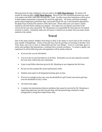Most payments for trips, fundraisers, fees are made to the **KHS Music Boosters**. So checks will usually be made payable to **KHS Music Boosters**. However on a few occasions payment may need to be made to the KHS ASB office through Mrs. Lund. In either event clear instructions will be given to both students and parents so payment can reach the right party. All money and forms including parent acknowledgement, permission slips, and unsold tickets (for any event) should be deposited in the deposit box located at the entrance of the choir room. Please make sure your name is clearly marked on all items before making your deposit. Also make sure you deposit your items in the correct slot for your class and period. Mr. Mynderup is not responsible for items that are not marked correctly or clearly. And please make sure all money is sealed in an envelope with your name clearly marked on the outside.

## **Travel**

One of the many memory builders from being in choir is the chance to travel and see the world (at least outside of Kingsburg). Choirs of the past have had the privilege of traveling to Sweden, New York, Reno, and even as close as Disneyland and San Luis Obispo. Travel is a privilege given to choirs and members that demonstrate a continual drive towards excellence. To ensure a quality trip experience for all the following rules and regulations will be strictly enforced.

- If you are late, you are left behind.
- You are to be on your best behavior at all times. Remember you not only represent yourself, but your choir, school and your community.
- Listen to and follow directions given by Mr. Mynderup or any chaperone the first time.
- Be sure you have packed the correct performance outfit.
- Students must report to all designated meeting spots on time.
- If travel is overnight no boy may cross the threshold of a girl's hotel room and no girl may cross the threshold of a boy's room.
- All school rules apply.
- A student who demonstrates behavior problems that cannot be resolved by Mr. Mynderup or supervising adult may lose their trip privilege with the parent being contacted to make arrangements to bring their student home early.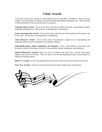## **Choir Awards**

At the end of each year, during our final spring concert in mid May, recognition is given to choir students who demonstrate exceptional musical and leadership abilities during the year. The following is brief description of the award and reason for giving it:

**National Choral Award:** Given to the senior who has excelled in all areas: musicianship, attitude, leadership and dedication. This award is accompanied by a scholarship.

**Louis Armstrong Jazz Award:** Given to the senior who has shown the greatest achievement in the area of jazz. This award is accompanied by a scholarship.

**Choir Director's Award:** Given to the senior who possesses a high level of musicianship and leadership abilities and has maintained an exemplary attitude.

**Outstanding Senior, Junior, Sophomore, & Freshman:** Given to the member of each class who has been a model for their peers in terms of musicianship, attitude, attendance, and leadership.

**Special "Humorous" Awards:** These are given to students that have had a special and unique impact on the choir for the year. They are meant to be fun and hopefully provide a good chuckle or laugh at our spring concert.

**Block 'K' Awards:** Given to all members that have been in choir at least three years (6 semesters)

Four Year Awards: Given to seniors who have been in choir all four years (8 semesters).

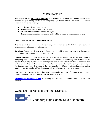## **Music Boosters**

The purpose of the **KHS Music Boosters** is to promote and support the activities of the music students and performing groups of the Kingsburg High School Music Department. The Music Boosters promote and encourage:

- Musical excellence in the program
- Teamwork and cooperation in all activities
- An environment of mutual respect and dignity
- The communication of the exceptional quality of the program to the community at large.

#### **Communication – How Parents Stay Informed**

The music directors and the Music Boosters organization have set up the following procedures for communicating information to all members:

**Telephone Committee –** is used to remind members of monthly general meetings, as well as provide information on all major events throughout the year.

**General Meetings –** of the Music Boosters are held on the second Tuesday of each month at Kingsburg High School in the choral room. In addition to conducting the business of the organization, a large segment of the meeting is devoted to providing information on various events and activities. The directors are present as well. Attendance at general meetings is encouraged. Meetings are held on the dates listed on the event calendar at 7:00 p.m. Students of parents attending a monthly booster meeting will receive extra credit towards a quarter or semester grade.

**Music Students –** are given detailed performance schedules and other information by the directors. Parents should ask their students to see any fliers that are sent home.

**rmynderup@kingsburghigh.com** is definitely the best way of communication with the choir director.

…and don't forget to like us on Facebook!!

facebook $\Box'$ 

Kingsburg High School Music Boosters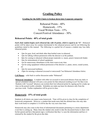## **Grading Policy**

#### **Grading for the KHS Choirs is broken down into 4 separate categories**

Rehearsal Points - 40% Homework - 15% Vocal/Written Tests - 15% Concert/Festival Attendance - 30%

#### **Rehearsal Points: 40% of total grade**

*Each choir student begins each rehearsal day with 10 points, which is equal to an "A"*. Rehearsal points will be taken away for conduct detrimental to the rehearsal process and for not following the guidelines stated in this manual. The following is a partial list of reasons a student may lose daily rehearsal points.

- -2pts for gum, food, and drink other than bottled water in rehearsal.
- -2pts for talking without permission while the director is at the podium.
- -8pts for coming to rehearsal without proper materials i.e. music, pencil, homework binder.
- -5pts for mistreatment of school equipment.
- -1pt for unnecessary disturbance in the choir room at any time.
- -1pt for using equipment without permission of the director i.e. piano, stereo, sound system, etc
- -3pts for unexcused tardiness.
- -10pts for missing a rehearsal (excused or unexcused) \*see Rehearsal Attendance below.

**Cell Phones** – refer back to earlier discussion under "Rehearsal".

**Rehearsal Attendance**: A student with either an excused or unexcused absence from any daily or special scheduled rehearsal will earn a zero points for that rehearsal resulting in an F for that event. Students with "excused" absences can reclaim their lost rehearsal points by signing up for a make-up time on the posted weekly schedule. Schedules are make-up times for absences only from the previous week. Further explanation will be given in class.

#### **Homework: 15% of total grade**

Students in all choirs can expect some homework. Time will be given in class for the completion of homework assignments. However, a student that needs more than the allotted time who may take their work home to complete it. It will be due the very next class time.

Homework may also come in the form of informational documents pertaining to a music department event that is coming up. Many times the student only needs to take the document home to share with his/her parent and have that parent sign a verification that they've seen the information and have it returned by the student by the given due date.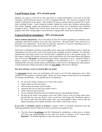#### **Vocal/Written Tests: 15% of total grade**

Students can expect a vocal test at least once prior to a major performance event such as the fall, Christmas, and Pre-festival concerts, as well as scheduled festivals. The vocal test evaluates if the student is learning his or her music. Each student will sing in a quartet and be recorded into a multitrack recording system. Aural evaluation includes singing the correct part, rhythms, pronunciation (for foreign language songs) and articulation, as well as correct use of dynamics, and intonation (singing in tune). Written tests will be given from time to time in order to assess each student's progress with what's being taught in class relevant to singing skills, music theory and history.

#### **Concert/Festival Attendance: 30% of total grade**

*Note to students and parents: Due to the nature of choir this section of grading can sometimes seem confusing, especially to students new to the choir experience. Because of this I have tried to be as thorough in my explanation. If you find you still have questions or concerns regarding concert or festival grading please contact me directly at 897-1439.* 

Each choir is scheduled to perform in the public and in some type of educational arena in which the culmination of several week's work will not only be put on display, but also evaluated. It is therefore expected that each singer attend every function that is scheduled for his or her specific group. For this reason a student who attends a concert or festival and follows all of the expectations and etiquette rules will receive **100 points** for that performance which is equivalent to an A. Students failing to attend a concert or festival will receive **0 points**, or the equivalent of an F. It is important to understand that when any student misses a performance it only serves to downgrade the entire group's overall performance ability and will not allow the **true ability** of the choir to flourish.

#### *How does missing a concert or festival affect my grade?*

An **unexcused** absence from any performance will result in an F for that performance and a 30% reduction in your quarter or semester grade. Below are some sample excuses that are not acceptable for missing a performance. They include but are not limited to:

- No one in my family would give me a ride to the concert.
- I had to baby sit at the last minute.
- I did not have the proper concert clothes.
- American Idol was on and I just couldn't miss it.
- I didn't learn my music anyway.
- I'm on Academic Probation and can't perform anyway. (See guidelines below)
- My dog ate the shoes I was going to wear and I didn't want to wear my black tennis shoes because that was only pair close to what I could wear, but because Mr. Mynderup stated in the concert outfit rules that black tennis shoes were unacceptable I didn't want to take the chance of getting a lower grade, and that's why I didn't come to the concert.

*If you miss a scheduled concert or festival* to attend a KHS or non-KHS sponsored event the following guidelines must be followed in order to maintain your grade in choir.

 Clear the absence **in advance** with Mr. Mynderup by submitting a written note or a phone call from your parent/guardian no less than two weeks in advance of the concert date. *Important* – No student regardless of age may clear his or her own absence.